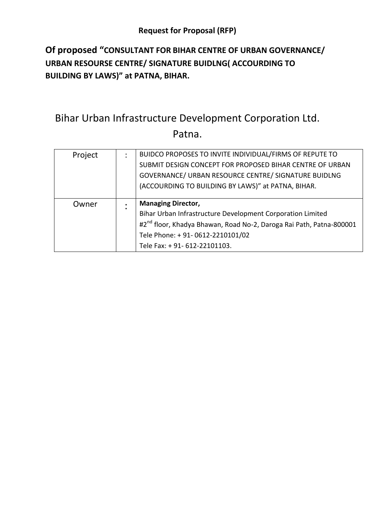# **Of proposed "CONSULTANT FOR BIHAR CENTRE OF URBAN GOVERNANCE/ URBAN RESOURSE CENTRE/ SIGNATURE BUIDLNG( ACCOURDING TO BUILDING BY LAWS)" at PATNA, BIHAR.**

# Bihar Urban Infrastructure Development Corporation Ltd. Patna.

| Project | BUIDCO PROPOSES TO INVITE INDIVIDUAL/FIRMS OF REPUTE TO                         |
|---------|---------------------------------------------------------------------------------|
|         | SUBMIT DESIGN CONCEPT FOR PROPOSED BIHAR CENTRE OF URBAN                        |
|         | GOVERNANCE/ URBAN RESOURCE CENTRE/ SIGNATURE BUIDLNG                            |
|         | (ACCOURDING TO BUILDING BY LAWS)" at PATNA, BIHAR.                              |
|         |                                                                                 |
|         |                                                                                 |
| Owner   | <b>Managing Director,</b>                                                       |
|         | Bihar Urban Infrastructure Development Corporation Limited                      |
|         | #2 <sup>nd</sup> floor, Khadya Bhawan, Road No-2, Daroga Rai Path, Patna-800001 |
|         | Tele Phone: + 91-0612-2210101/02                                                |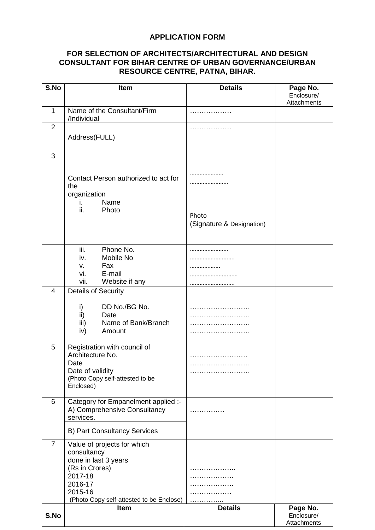#### **APPLICATION FORM**

#### **FOR SELECTION OF ARCHITECTS/ARCHITECTURAL AND DESIGN CONSULTANT FOR BIHAR CENTRE OF URBAN GOVERNANCE/URBAN RESOURCE CENTRE, PATNA, BIHAR.**

| S.No           | Item                                                                                                                                                              | <b>Details</b>                          | Page No.<br>Enclosure/<br>Attachments |
|----------------|-------------------------------------------------------------------------------------------------------------------------------------------------------------------|-----------------------------------------|---------------------------------------|
| $\mathbf{1}$   | Name of the Consultant/Firm<br>/Individual                                                                                                                        |                                         |                                       |
| $\overline{2}$ | Address(FULL)                                                                                                                                                     |                                         |                                       |
| 3              | Contact Person authorized to act for<br>the<br>organization<br>Name<br>İ.<br>ii.<br>Photo                                                                         | .<br>Photo<br>(Signature & Designation) |                                       |
|                | iii.<br>Phone No.<br>Mobile No<br>iv.<br>Fax<br>V.<br>E-mail<br>vi.<br>Website if any<br>vii.                                                                     | .                                       |                                       |
| 4              | <b>Details of Security</b><br>DD No./BG No.<br>i)<br>ii)<br>Date<br>iii)<br>Name of Bank/Branch<br>iv)<br>Amount                                                  | .<br>.<br>.                             |                                       |
| 5              | Registration with council of<br>Architecture No.<br>Date<br>Date of validity<br>(Photo Copy self-attested to be<br>Enclosed)                                      |                                         |                                       |
| 6              | Category for Empanelment applied :-<br>A) Comprehensive Consultancy<br>services.                                                                                  | .                                       |                                       |
|                | <b>B) Part Consultancy Services</b>                                                                                                                               |                                         |                                       |
| $\overline{7}$ | Value of projects for which<br>consultancy<br>done in last 3 years<br>(Rs in Crores)<br>2017-18<br>2016-17<br>2015-16<br>(Photo Copy self-attested to be Enclose) | .                                       |                                       |
| S.No           | Item                                                                                                                                                              | <b>Details</b>                          | Page No.<br>Enclosure/<br>Attachments |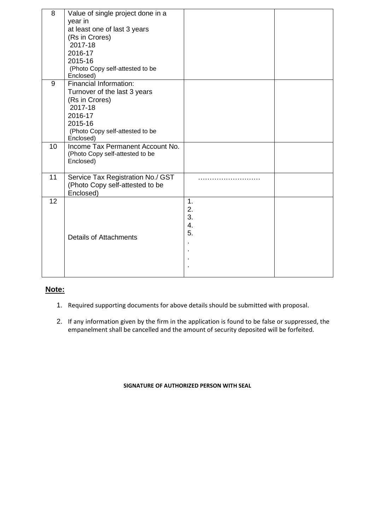| 8  | Value of single project done in a<br>year in<br>at least one of last 3 years<br>(Rs in Crores)<br>2017-18<br>2016-17                                      |                                       |  |
|----|-----------------------------------------------------------------------------------------------------------------------------------------------------------|---------------------------------------|--|
|    | 2015-16<br>(Photo Copy self-attested to be<br>Enclosed)                                                                                                   |                                       |  |
| 9  | Financial Information:<br>Turnover of the last 3 years<br>(Rs in Crores)<br>2017-18<br>2016-17<br>2015-16<br>(Photo Copy self-attested to be<br>Enclosed) |                                       |  |
| 10 | Income Tax Permanent Account No.<br>(Photo Copy self-attested to be<br>Enclosed)                                                                          |                                       |  |
| 11 | Service Tax Registration No./ GST<br>(Photo Copy self-attested to be<br>Enclosed)                                                                         |                                       |  |
| 12 | <b>Details of Attachments</b>                                                                                                                             | $\mathbf 1$ .<br>2.<br>3.<br>4.<br>5. |  |

### **Note:**

- 1. Required supporting documents for above details should be submitted with proposal.
- 2. If any information given by the firm in the application is found to be false or suppressed, the empanelment shall be cancelled and the amount of security deposited will be forfeited.

**SIGNATURE OF AUTHORIZED PERSON WITH SEAL**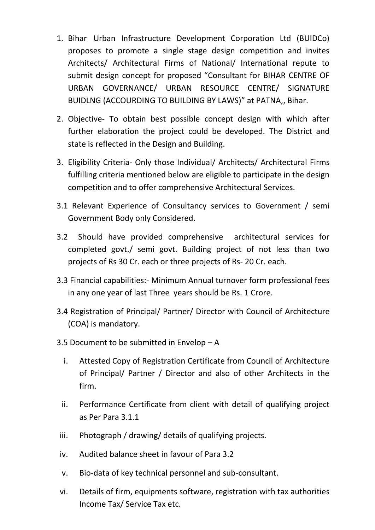- 1. Bihar Urban Infrastructure Development Corporation Ltd (BUIDCo) proposes to promote a single stage design competition and invites Architects/ Architectural Firms of National/ International repute to submit design concept for proposed "Consultant for BIHAR CENTRE OF URBAN GOVERNANCE/ URBAN RESOURCE CENTRE/ SIGNATURE BUIDLNG (ACCOURDING TO BUILDING BY LAWS)" at PATNA,, Bihar.
- 2. Objective- To obtain best possible concept design with which after further elaboration the project could be developed. The District and state is reflected in the Design and Building.
- 3. Eligibility Criteria- Only those Individual/ Architects/ Architectural Firms fulfilling criteria mentioned below are eligible to participate in the design competition and to offer comprehensive Architectural Services.
- 3.1 Relevant Experience of Consultancy services to Government / semi Government Body only Considered.
- 3.2 Should have provided comprehensive architectural services for completed govt./ semi govt. Building project of not less than two projects of Rs 30 Cr. each or three projects of Rs- 20 Cr. each.
- 3.3 Financial capabilities:- Minimum Annual turnover form professional fees in any one year of last Three years should be Rs. 1 Crore.
- 3.4 Registration of Principal/ Partner/ Director with Council of Architecture (COA) is mandatory.
- 3.5 Document to be submitted in Envelop A
	- i. Attested Copy of Registration Certificate from Council of Architecture of Principal/ Partner / Director and also of other Architects in the firm.
	- ii. Performance Certificate from client with detail of qualifying project as Per Para 3.1.1
- iii. Photograph / drawing/ details of qualifying projects.
- iv. Audited balance sheet in favour of Para 3.2
- v. Bio-data of key technical personnel and sub-consultant.
- vi. Details of firm, equipments software, registration with tax authorities Income Tax/ Service Tax etc.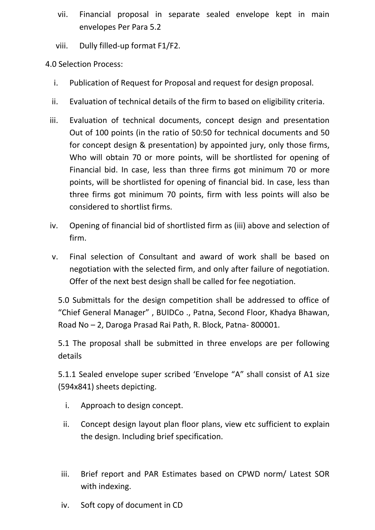- vii. Financial proposal in separate sealed envelope kept in main envelopes Per Para 5.2
- viii. Dully filled-up format F1/F2.

4.0 Selection Process:

- i. Publication of Request for Proposal and request for design proposal.
- ii. Evaluation of technical details of the firm to based on eligibility criteria.
- iii. Evaluation of technical documents, concept design and presentation Out of 100 points (in the ratio of 50:50 for technical documents and 50 for concept design & presentation) by appointed jury, only those firms, Who will obtain 70 or more points, will be shortlisted for opening of Financial bid. In case, less than three firms got minimum 70 or more points, will be shortlisted for opening of financial bid. In case, less than three firms got minimum 70 points, firm with less points will also be considered to shortlist firms.
- iv. Opening of financial bid of shortlisted firm as (iii) above and selection of firm.
- v. Final selection of Consultant and award of work shall be based on negotiation with the selected firm, and only after failure of negotiation. Offer of the next best design shall be called for fee negotiation.

5.0 Submittals for the design competition shall be addressed to office of "Chief General Manager" , BUIDCo ., Patna, Second Floor, Khadya Bhawan, Road No – 2, Daroga Prasad Rai Path, R. Block, Patna- 800001.

5.1 The proposal shall be submitted in three envelops are per following details

5.1.1 Sealed envelope super scribed 'Envelope "A" shall consist of A1 size (594x841) sheets depicting.

- i. Approach to design concept.
- ii. Concept design layout plan floor plans, view etc sufficient to explain the design. Including brief specification.
- iii. Brief report and PAR Estimates based on CPWD norm/ Latest SOR with indexing.
- iv. Soft copy of document in CD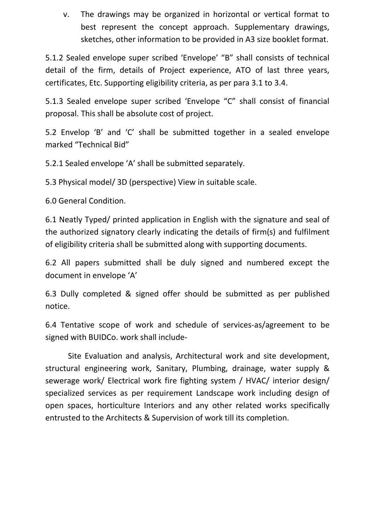v. The drawings may be organized in horizontal or vertical format to best represent the concept approach. Supplementary drawings, sketches, other information to be provided in A3 size booklet format.

5.1.2 Sealed envelope super scribed 'Envelope' "B" shall consists of technical detail of the firm, details of Project experience, ATO of last three years, certificates, Etc. Supporting eligibility criteria, as per para 3.1 to 3.4.

5.1.3 Sealed envelope super scribed 'Envelope "C" shall consist of financial proposal. This shall be absolute cost of project.

5.2 Envelop 'B' and 'C' shall be submitted together in a sealed envelope marked "Technical Bid"

5.2.1 Sealed envelope 'A' shall be submitted separately.

5.3 Physical model/ 3D (perspective) View in suitable scale.

6.0 General Condition.

6.1 Neatly Typed/ printed application in English with the signature and seal of the authorized signatory clearly indicating the details of firm(s) and fulfilment of eligibility criteria shall be submitted along with supporting documents.

6.2 All papers submitted shall be duly signed and numbered except the document in envelope 'A'

6.3 Dully completed & signed offer should be submitted as per published notice.

6.4 Tentative scope of work and schedule of services-as/agreement to be signed with BUIDCo. work shall include-

Site Evaluation and analysis, Architectural work and site development, structural engineering work, Sanitary, Plumbing, drainage, water supply & sewerage work/ Electrical work fire fighting system / HVAC/ interior design/ specialized services as per requirement Landscape work including design of open spaces, horticulture Interiors and any other related works specifically entrusted to the Architects & Supervision of work till its completion.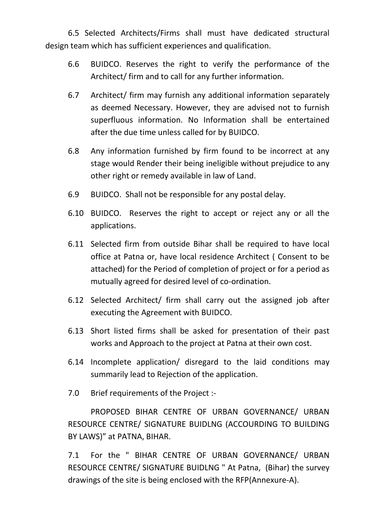6.5 Selected Architects/Firms shall must have dedicated structural design team which has sufficient experiences and qualification.

- 6.6 BUIDCO. Reserves the right to verify the performance of the Architect/ firm and to call for any further information.
- 6.7 Architect/ firm may furnish any additional information separately as deemed Necessary. However, they are advised not to furnish superfluous information. No Information shall be entertained after the due time unless called for by BUIDCO.
- 6.8 Any information furnished by firm found to be incorrect at any stage would Render their being ineligible without prejudice to any other right or remedy available in law of Land.
- 6.9 BUIDCO. Shall not be responsible for any postal delay.
- 6.10 BUIDCO. Reserves the right to accept or reject any or all the applications.
- 6.11 Selected firm from outside Bihar shall be required to have local office at Patna or, have local residence Architect ( Consent to be attached) for the Period of completion of project or for a period as mutually agreed for desired level of co-ordination.
- 6.12 Selected Architect/ firm shall carry out the assigned job after executing the Agreement with BUIDCO.
- 6.13 Short listed firms shall be asked for presentation of their past works and Approach to the project at Patna at their own cost.
- 6.14 Incomplete application/ disregard to the laid conditions may summarily lead to Rejection of the application.
- 7.0 Brief requirements of the Project :-

PROPOSED BIHAR CENTRE OF URBAN GOVERNANCE/ URBAN RESOURCE CENTRE/ SIGNATURE BUIDLNG (ACCOURDING TO BUILDING BY LAWS)" at PATNA, BIHAR.

7.1 For the " BIHAR CENTRE OF URBAN GOVERNANCE/ URBAN RESOURCE CENTRE/ SIGNATURE BUIDLNG " At Patna, (Bihar) the survey drawings of the site is being enclosed with the RFP(Annexure-A).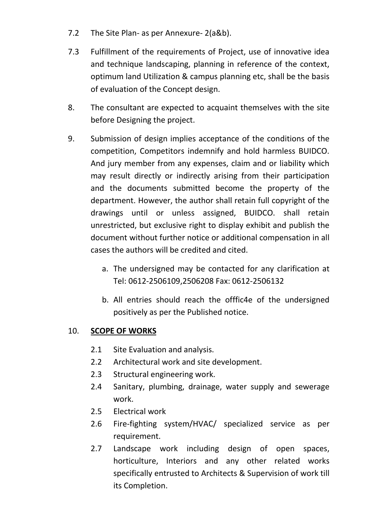- 7.2 The Site Plan- as per Annexure- 2(a&b).
- 7.3 Fulfillment of the requirements of Project, use of innovative idea and technique landscaping, planning in reference of the context, optimum land Utilization & campus planning etc, shall be the basis of evaluation of the Concept design.
- 8. The consultant are expected to acquaint themselves with the site before Designing the project.
- 9. Submission of design implies acceptance of the conditions of the competition, Competitors indemnify and hold harmless BUIDCO. And jury member from any expenses, claim and or liability which may result directly or indirectly arising from their participation and the documents submitted become the property of the department. However, the author shall retain full copyright of the drawings until or unless assigned, BUIDCO. shall retain unrestricted, but exclusive right to display exhibit and publish the document without further notice or additional compensation in all cases the authors will be credited and cited.
	- a. The undersigned may be contacted for any clarification at Tel: 0612-2506109,2506208 Fax: 0612-2506132
	- b. All entries should reach the offfic4e of the undersigned positively as per the Published notice.

# 10. **SCOPE OF WORKS**

- 2.1 Site Evaluation and analysis.
- 2.2 Architectural work and site development.
- 2.3 Structural engineering work.
- 2.4 Sanitary, plumbing, drainage, water supply and sewerage work.
- 2.5 Electrical work
- 2.6 Fire-fighting system/HVAC/ specialized service as per requirement.
- 2.7 Landscape work including design of open spaces, horticulture, Interiors and any other related works specifically entrusted to Architects & Supervision of work till its Completion.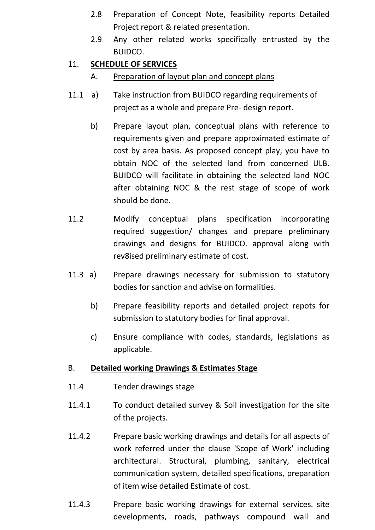- 2.8 Preparation of Concept Note, feasibility reports Detailed Project report & related presentation.
- 2.9 Any other related works specifically entrusted by the BUIDCO.

# 11. **SCHEDULE OF SERVICES**

- A. Preparation of layout plan and concept plans
- 11.1 a) Take instruction from BUIDCO regarding requirements of project as a whole and prepare Pre- design report.
	- b) Prepare layout plan, conceptual plans with reference to requirements given and prepare approximated estimate of cost by area basis. As proposed concept play, you have to obtain NOC of the selected land from concerned ULB. BUIDCO will facilitate in obtaining the selected land NOC after obtaining NOC & the rest stage of scope of work should be done.
- 11.2 Modify conceptual plans specification incorporating required suggestion/ changes and prepare preliminary drawings and designs for BUIDCO. approval along with rev8ised preliminary estimate of cost.
- 11.3 a) Prepare drawings necessary for submission to statutory bodies for sanction and advise on formalities.
	- b) Prepare feasibility reports and detailed project repots for submission to statutory bodies for final approval.
	- c) Ensure compliance with codes, standards, legislations as applicable.

## B. **Detailed working Drawings & Estimates Stage**

- 11.4 Tender drawings stage
- 11.4.1 To conduct detailed survey & Soil investigation for the site of the projects.
- 11.4.2 Prepare basic working drawings and details for all aspects of work referred under the clause 'Scope of Work' including architectural. Structural, plumbing, sanitary, electrical communication system, detailed specifications, preparation of item wise detailed Estimate of cost.
- 11.4.3 Prepare basic working drawings for external services. site developments, roads, pathways compound wall and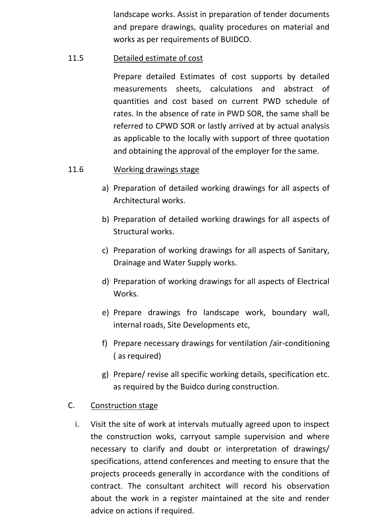landscape works. Assist in preparation of tender documents and prepare drawings, quality procedures on material and works as per requirements of BUIDCO.

## 11.5 Detailed estimate of cost

Prepare detailed Estimates of cost supports by detailed measurements sheets, calculations and abstract of quantities and cost based on current PWD schedule of rates. In the absence of rate in PWD SOR, the same shall be referred to CPWD SOR or lastly arrived at by actual analysis as applicable to the locally with support of three quotation and obtaining the approval of the employer for the same.

# 11.6 Working drawings stage

- a) Preparation of detailed working drawings for all aspects of Architectural works.
- b) Preparation of detailed working drawings for all aspects of Structural works.
- c) Preparation of working drawings for all aspects of Sanitary, Drainage and Water Supply works.
- d) Preparation of working drawings for all aspects of Electrical **Works**
- e) Prepare drawings fro landscape work, boundary wall, internal roads, Site Developments etc,
- f) Prepare necessary drawings for ventilation /air-conditioning ( as required)
- g) Prepare/ revise all specific working details, specification etc. as required by the Buidco during construction.

## C. Construction stage

i. Visit the site of work at intervals mutually agreed upon to inspect the construction woks, carryout sample supervision and where necessary to clarify and doubt or interpretation of drawings/ specifications, attend conferences and meeting to ensure that the projects proceeds generally in accordance with the conditions of contract. The consultant architect will record his observation about the work in a register maintained at the site and render advice on actions if required.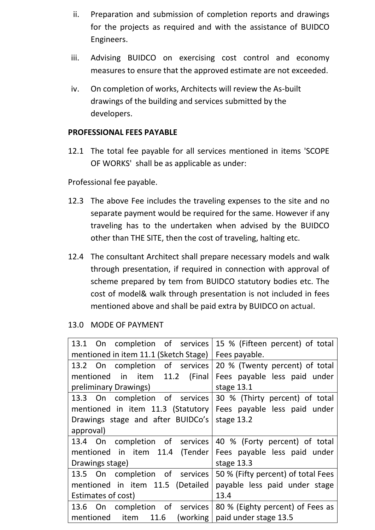- ii. Preparation and submission of completion reports and drawings for the projects as required and with the assistance of BUIDCO Engineers.
- iii. Advising BUIDCO on exercising cost control and economy measures to ensure that the approved estimate are not exceeded.
- iv. On completion of works, Architects will review the As-built drawings of the building and services submitted by the developers.

### **PROFESSIONAL FEES PAYABLE**

12.1 The total fee payable for all services mentioned in items 'SCOPE OF WORKS' shall be as applicable as under:

Professional fee payable.

- 12.3 The above Fee includes the traveling expenses to the site and no separate payment would be required for the same. However if any traveling has to the undertaken when advised by the BUIDCO other than THE SITE, then the cost of traveling, halting etc.
- 12.4 The consultant Architect shall prepare necessary models and walk through presentation, if required in connection with approval of scheme prepared by tem from BUIDCO statutory bodies etc. The cost of model& walk through presentation is not included in fees mentioned above and shall be paid extra by BUIDCO on actual.

## 13.0 MODE OF PAYMENT

| 13.1 On completion of services 15 % (Fifteen percent) of total      |                                |  |
|---------------------------------------------------------------------|--------------------------------|--|
| mentioned in item 11.1 (Sketch Stage)                               | Fees payable.                  |  |
| 13.2 On completion of services                                      | 20 % (Twenty percent) of total |  |
| mentioned in item 11.2 (Final                                       | Fees payable less paid under   |  |
| preliminary Drawings)                                               | stage 13.1                     |  |
| 13.3 On completion of services 30 % (Thirty percent) of total       |                                |  |
| mentioned in item 11.3 (Statutory                                   | Fees payable less paid under   |  |
| Drawings stage and after BUIDCo's                                   | stage 13.2                     |  |
| approval)                                                           |                                |  |
| 13.4 On completion of services 40 % (Forty percent) of total        |                                |  |
| mentioned in item 11.4 (Tender Fees payable less paid under         |                                |  |
| Drawings stage)                                                     | stage 13.3                     |  |
| 13.5 On completion of services   50 % (Fifty percent) of total Fees |                                |  |
| mentioned in item 11.5 (Detailed                                    | payable less paid under stage  |  |
| Estimates of cost)                                                  | 13.4                           |  |
| 13.6 On completion of services 80 % (Eighty percent) of Fees as     |                                |  |
| mentioned item $11.6$ (working   paid under stage 13.5              |                                |  |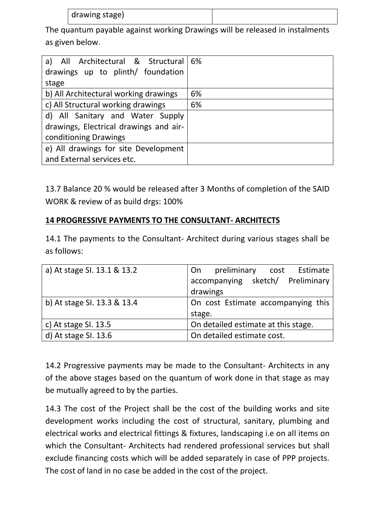| drawing stage) |  |
|----------------|--|
|----------------|--|

The quantum payable against working Drawings will be released in instalments as given below.

| a) All Architectural & Structural 6%   |    |
|----------------------------------------|----|
| drawings up to plinth/ foundation      |    |
| stage                                  |    |
| b) All Architectural working drawings  | 6% |
| c) All Structural working drawings     | 6% |
| d) All Sanitary and Water Supply       |    |
| drawings, Electrical drawings and air- |    |
| conditioning Drawings                  |    |
| e) All drawings for site Development   |    |
| and External services etc.             |    |

13.7 Balance 20 % would be released after 3 Months of completion of the SAID WORK & review of as build drgs: 100%

# **14 PROGRESSIVE PAYMENTS TO THE CONSULTANT- ARCHITECTS**

14.1 The payments to the Consultant- Architect during various stages shall be as follows:

| a) At stage SI. 13.1 & 13.2 | preliminary cost Estimate<br>On     |  |
|-----------------------------|-------------------------------------|--|
|                             | accompanying sketch/ Preliminary    |  |
|                             | drawings                            |  |
| b) At stage SI. 13.3 & 13.4 | On cost Estimate accompanying this  |  |
|                             | stage.                              |  |
| c) At stage SI. 13.5        | On detailed estimate at this stage. |  |
| d) At stage SI. 13.6        | On detailed estimate cost.          |  |

14.2 Progressive payments may be made to the Consultant- Architects in any of the above stages based on the quantum of work done in that stage as may be mutually agreed to by the parties.

14.3 The cost of the Project shall be the cost of the building works and site development works including the cost of structural, sanitary, plumbing and electrical works and electrical fittings & fixtures, landscaping i.e on all items on which the Consultant- Architects had rendered professional services but shall exclude financing costs which will be added separately in case of PPP projects. The cost of land in no case be added in the cost of the project.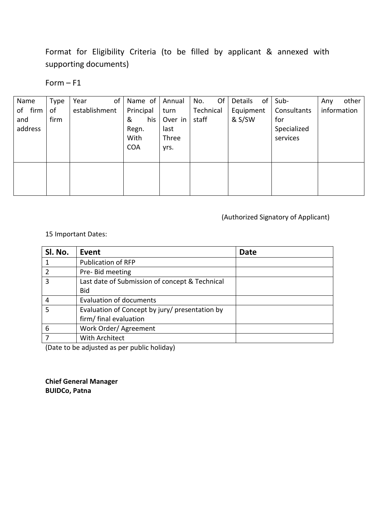Format for Eligibility Criteria (to be filled by applicant & annexed with supporting documents)

#### Form – F1

| Name    | <b>Type</b> | of<br>Year    | Name of    | Annual  | Of<br>No. | Details   | of Sub-     | other<br>Any |
|---------|-------------|---------------|------------|---------|-----------|-----------|-------------|--------------|
| of firm | of          | establishment | Principal  | turn    | Technical | Equipment | Consultants | information  |
| and     | firm        |               | &<br>his   | Over in | staff     | & S/SW    | for         |              |
| address |             |               | Regn.      | last    |           |           | Specialized |              |
|         |             |               | With       | Three   |           |           | services    |              |
|         |             |               | <b>COA</b> | yrs.    |           |           |             |              |
|         |             |               |            |         |           |           |             |              |
|         |             |               |            |         |           |           |             |              |
|         |             |               |            |         |           |           |             |              |
|         |             |               |            |         |           |           |             |              |

### (Authorized Signatory of Applicant)

#### 15 Important Dates:

| Sl. No. | Event                                          | <b>Date</b> |
|---------|------------------------------------------------|-------------|
|         | <b>Publication of RFP</b>                      |             |
|         | Pre- Bid meeting                               |             |
| 3       | Last date of Submission of concept & Technical |             |
|         | <b>Bid</b>                                     |             |
| 4       | <b>Evaluation of documents</b>                 |             |
| 5       | Evaluation of Concept by jury/ presentation by |             |
|         | firm/final evaluation                          |             |
| 6       | Work Order/ Agreement                          |             |
|         | With Architect                                 |             |
|         |                                                |             |

(Date to be adjusted as per public holiday)

**Chief General Manager BUIDCo, Patna**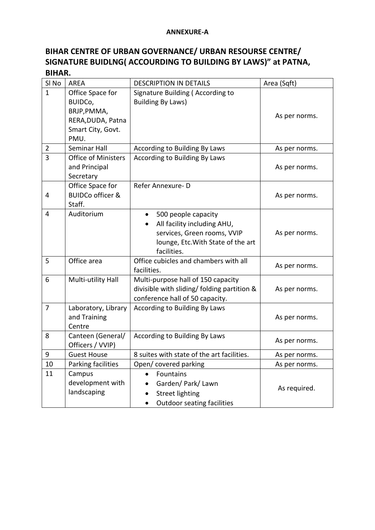#### **ANNEXURE-A**

# **BIHAR CENTRE OF URBAN GOVERNANCE/ URBAN RESOURSE CENTRE/ SIGNATURE BUIDLNG( ACCOURDING TO BUILDING BY LAWS)" at PATNA, BIHAR.**

| SI <sub>No</sub> | <b>AREA</b>                                                                                  | <b>DESCRIPTION IN DETAILS</b>                                                                                                                       | Area (Sqft)   |
|------------------|----------------------------------------------------------------------------------------------|-----------------------------------------------------------------------------------------------------------------------------------------------------|---------------|
| $\mathbf{1}$     | Office Space for<br>BUIDCo,<br>BRJP, PMMA,<br>RERA, DUDA, Patna<br>Smart City, Govt.<br>PMU. | Signature Building (According to<br><b>Building By Laws)</b>                                                                                        | As per norms. |
| $\overline{2}$   | Seminar Hall                                                                                 | According to Building By Laws                                                                                                                       | As per norms. |
| 3                | <b>Office of Ministers</b><br>and Principal<br>Secretary                                     | <b>According to Building By Laws</b>                                                                                                                | As per norms. |
| 4                | Office Space for<br><b>BUIDCo officer &amp;</b><br>Staff.                                    | Refer Annexure-D                                                                                                                                    | As per norms. |
| 4                | Auditorium                                                                                   | 500 people capacity<br>$\bullet$<br>All facility including AHU,<br>services, Green rooms, VVIP<br>lounge, Etc. With State of the art<br>facilities. | As per norms. |
| 5                | Office area                                                                                  | Office cubicles and chambers with all<br>facilities.                                                                                                | As per norms. |
| 6                | Multi-utility Hall                                                                           | Multi-purpose hall of 150 capacity<br>divisible with sliding/ folding partition &<br>conference hall of 50 capacity.                                | As per norms. |
| 7                | Laboratory, Library<br>and Training<br>Centre                                                | According to Building By Laws                                                                                                                       | As per norms. |
| 8                | Canteen (General/<br>Officers / VVIP)                                                        | According to Building By Laws                                                                                                                       | As per norms. |
| 9                | <b>Guest House</b>                                                                           | 8 suites with state of the art facilities.                                                                                                          | As per norms. |
| 10               | Parking facilities                                                                           | Open/covered parking                                                                                                                                | As per norms. |
| 11               | Campus<br>development with<br>landscaping                                                    | Fountains<br>Garden/ Park/ Lawn<br><b>Street lighting</b><br><b>Outdoor seating facilities</b><br>$\bullet$                                         | As required.  |